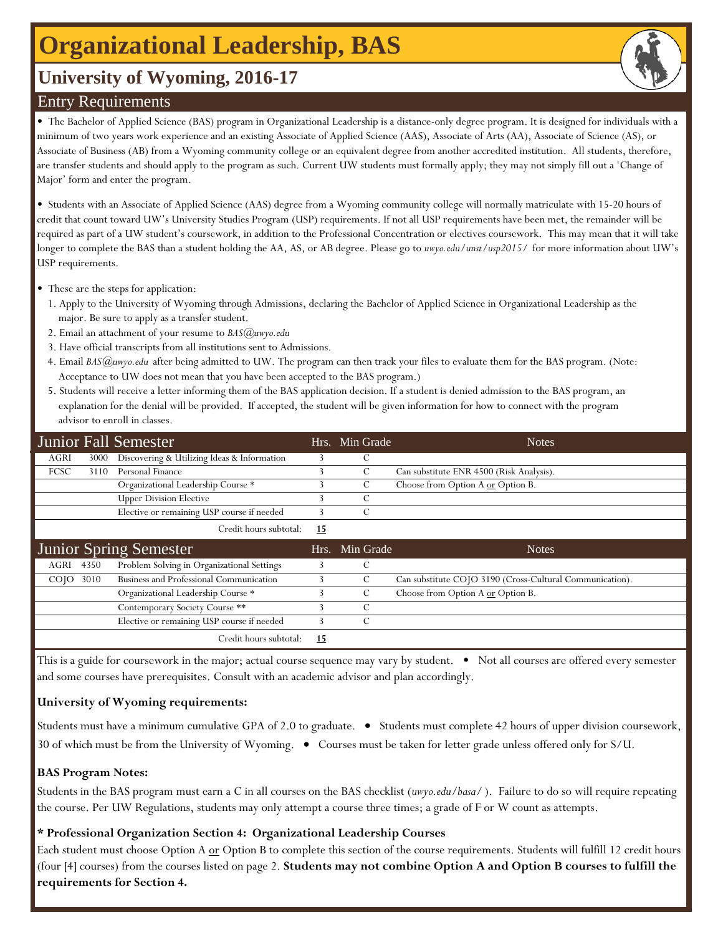# **Organizational Leadership, BAS**

# **University of Wyoming, 2016-17**

## Entry Requirements

• The Bachelor of Applied Science (BAS) program in Organizational Leadership is a distance-only degree program. It is designed for individuals with a minimum of two years work experience and an existing Associate of Applied Science (AAS), Associate of Arts (AA), Associate of Science (AS), or Associate of Business (AB) from a Wyoming community college or an equivalent degree from another accredited institution. All students, therefore, are transfer students and should apply to the program as such. Current UW students must formally apply; they may not simply fill out a 'Change of Major' form and enter the program.

• Students with an Associate of Applied Science (AAS) degree from a Wyoming community college will normally matriculate with 15-20 hours of credit that count toward UW's University Studies Program (USP) requirements. If not all USP requirements have been met, the remainder will be required as part of a UW student's coursework, in addition to the Professional Concentration or electives coursework. This may mean that it will take longer to complete the BAS than a student holding the AA, AS, or AB degree. Please go to *uwyo.edu/unst/usp2015/* for more information about UW's USP requirements.

- These are the steps for application:
- 1. Apply to the University of Wyoming through Admissions, declaring the Bachelor of Applied Science in Organizational Leadership as the major. Be sure to apply as a transfer student.
- 2. Email an attachment of your resume to *BAS@uwyo.edu*
- 3. Have official transcripts from all institutions sent to Admissions.
- 4. Email *BAS@uwyo.edu* after being admitted to UW. The program can then track your files to evaluate them for the BAS program. (Note: Acceptance to UW does not mean that you have been accepted to the BAS program.)
- 5. Students will receive a letter informing them of the BAS application decision. If a student is denied admission to the BAS program, an explanation for the denial will be provided. If accepted, the student will be given information for how to connect with the program advisor to enroll in classes.

|                  |      | Junior Fall Semester                        |           | Hrs. Min Grade | <b>Notes</b>                                             |
|------------------|------|---------------------------------------------|-----------|----------------|----------------------------------------------------------|
| AGRI             | 3000 | Discovering & Utilizing Ideas & Information |           | С              |                                                          |
| <b>FCSC</b>      | 3110 | Personal Finance                            |           | C              | Can substitute ENR 4500 (Risk Analysis).                 |
|                  |      | Organizational Leadership Course *          |           | C              | Choose from Option A or Option B.                        |
|                  |      | <b>Upper Division Elective</b>              |           | C              |                                                          |
|                  |      | Elective or remaining USP course if needed  |           | C              |                                                          |
|                  |      | Credit hours subtotal:                      | <u>15</u> |                |                                                          |
|                  |      |                                             |           |                |                                                          |
|                  |      | Junior Spring Semester                      | Hrs.      | Min Grade      | <b>Notes</b>                                             |
| AGRI             | 4350 | Problem Solving in Organizational Settings  |           | C              |                                                          |
| CO <sub>IO</sub> | 3010 | Business and Professional Communication     |           | C              | Can substitute COJO 3190 (Cross-Cultural Communication). |
|                  |      | Organizational Leadership Course *          |           | C              | Choose from Option A or Option B.                        |
|                  |      | Contemporary Society Course **              |           | C              |                                                          |
|                  |      | Elective or remaining USP course if needed  |           | C              |                                                          |

This is a guide for coursework in the major; actual course sequence may vary by student. • Not all courses are offered every semester and some courses have prerequisites. Consult with an academic advisor and plan accordingly.

### **University of Wyoming requirements:**

Students must have a minimum cumulative GPA of 2.0 to graduate. • Students must complete 42 hours of upper division coursework, 30 of which must be from the University of Wyoming. • Courses must be taken for letter grade unless offered only for S/U.

#### **BAS Program Notes:**

Students in the BAS program must earn a C in all courses on the BAS checklist (*uwyo.edu/basa/* ). Failure to do so will require repeating the course. Per UW Regulations, students may only attempt a course three times; a grade of F or W count as attempts.

#### **\* Professional Organization Section 4: Organizational Leadership Courses**

Each student must choose Option A or Option B to complete this section of the course requirements. Students will fulfill 12 credit hours (four [4] courses) from the courses listed on page 2. **Students may not combine Option A and Option B courses to fulfill the requirements for Section 4.**